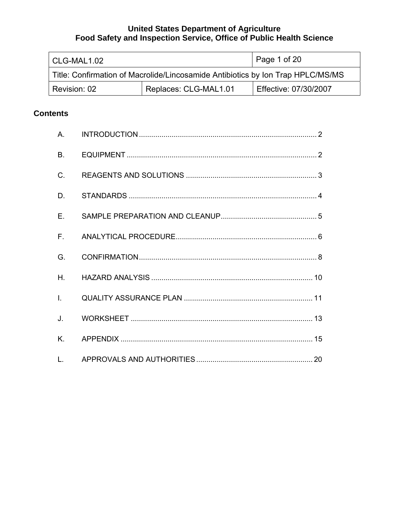| l CLG-MAL1.02                                                                   |  | $\vert$ Page 1 of 20  |
|---------------------------------------------------------------------------------|--|-----------------------|
| Title: Confirmation of Macrolide/Lincosamide Antibiotics by Ion Trap HPLC/MS/MS |  |                       |
| Replaces: CLG-MAL1.01<br>Revision: 02                                           |  | Effective: 07/30/2007 |

# **Contents**

| А.             |  |
|----------------|--|
| <b>B.</b>      |  |
| C.             |  |
| D.             |  |
| F.             |  |
| $F_{\rm{H}}$   |  |
| G.             |  |
| Η.             |  |
| $\mathbf{L}$   |  |
| J.             |  |
| K.             |  |
| $\mathsf{L}$ . |  |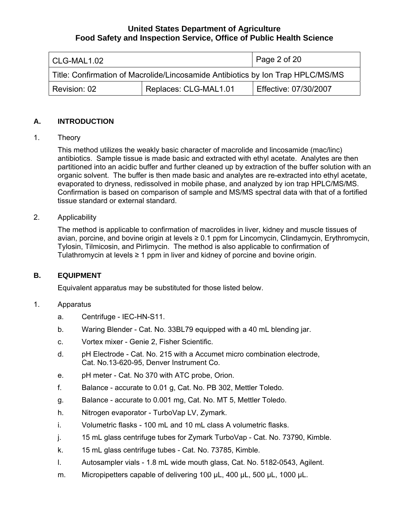<span id="page-1-0"></span>

| l CLG-MAL1.02                                                                   |  | $l$ Page 2 of 20      |
|---------------------------------------------------------------------------------|--|-----------------------|
| Title: Confirmation of Macrolide/Lincosamide Antibiotics by Ion Trap HPLC/MS/MS |  |                       |
| Replaces: CLG-MAL1.01<br>Revision: 02                                           |  | Effective: 07/30/2007 |

## **A. INTRODUCTION**

1. Theory

This method utilizes the weakly basic character of macrolide and lincosamide (mac/linc) antibiotics. Sample tissue is made basic and extracted with ethyl acetate. Analytes are then partitioned into an acidic buffer and further cleaned up by extraction of the buffer solution with an organic solvent. The buffer is then made basic and analytes are re-extracted into ethyl acetate, evaporated to dryness, redissolved in mobile phase, and analyzed by ion trap HPLC/MS/MS. Confirmation is based on comparison of sample and MS/MS spectral data with that of a fortified tissue standard or external standard.

#### 2. Applicability

The method is applicable to confirmation of macrolides in liver, kidney and muscle tissues of avian, porcine, and bovine origin at levels ≥ 0.1 ppm for Lincomycin, Clindamycin, Erythromycin, Tylosin, Tilmicosin, and Pirlimycin. The method is also applicable to confirmation of Tulathromycin at levels  $\geq 1$  ppm in liver and kidney of porcine and bovine origin.

# **B. EQUIPMENT**

Equivalent apparatus may be substituted for those listed below.

# 1. Apparatus

- a. Centrifuge IEC-HN-S11.
- b. Waring Blender Cat. No. 33BL79 equipped with a 40 mL blending jar.
- c. Vortex mixer Genie 2, Fisher Scientific.
- d. pH Electrode Cat. No. 215 with a Accumet micro combination electrode, Cat. No.13-620-95, Denver Instrument Co.
- e. pH meter Cat. No 370 with ATC probe, Orion.
- f. Balance accurate to 0.01 g, Cat. No. PB 302, Mettler Toledo.
- g. Balance accurate to 0.001 mg, Cat. No. MT 5, Mettler Toledo.
- h. Nitrogen evaporator TurboVap LV, Zymark.
- i. Volumetric flasks 100 mL and 10 mL class A volumetric flasks.
- j. 15 mL glass centrifuge tubes for Zymark TurboVap Cat. No. 73790, Kimble.
- k. 15 mL glass centrifuge tubes Cat. No. 73785, Kimble.
- l. Autosampler vials 1.8 mL wide mouth glass, Cat. No. 5182-0543, Agilent.
- m. Micropipetters capable of delivering 100 μL, 400 μL, 500 μL, 1000 μL.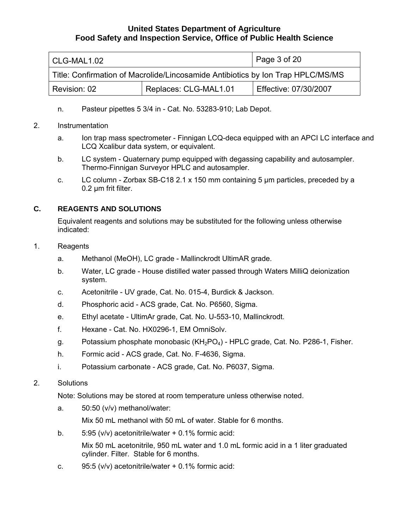<span id="page-2-0"></span>

| CLG-MAL1.02                                                                     |  | Page 3 of 20          |
|---------------------------------------------------------------------------------|--|-----------------------|
| Title: Confirmation of Macrolide/Lincosamide Antibiotics by Ion Trap HPLC/MS/MS |  |                       |
| Replaces: CLG-MAL1.01<br>Revision: 02                                           |  | Effective: 07/30/2007 |

- n. Pasteur pipettes 5 3/4 in Cat. No. 53283-910; Lab Depot.
- 2. Instrumentation
	- a. Ion trap mass spectrometer Finnigan LCQ-deca equipped with an APCI LC interface and LCQ Xcalibur data system, or equivalent.
	- b. LC system Quaternary pump equipped with degassing capability and autosampler. Thermo-Finnigan Surveyor HPLC and autosampler.
	- c. LC column Zorbax SB-C18 2.1 x 150 mm containing 5 µm particles, preceded by a 0.2 um frit filter.

# **C. REAGENTS AND SOLUTIONS**

Equivalent reagents and solutions may be substituted for the following unless otherwise indicated:

- 1. Reagents
	- a. Methanol (MeOH), LC grade Mallinckrodt UltimAR grade.
	- b. Water, LC grade House distilled water passed through Waters MilliQ deionization system.
	- c. Acetonitrile UV grade, Cat. No. 015-4, Burdick & Jackson.
	- d. Phosphoric acid ACS grade, Cat. No. P6560, Sigma.
	- e. Ethyl acetate UltimAr grade, Cat. No. U-553-10, Mallinckrodt.
	- f. Hexane Cat. No. HX0296-1, EM OmniSolv.
	- g. Potassium phosphate monobasic  $(KH<sub>2</sub>PO<sub>4</sub>)$  HPLC grade, Cat. No. P286-1, Fisher.
	- h. Formic acid ACS grade, Cat. No. F-4636, Sigma.
	- i. Potassium carbonate ACS grade, Cat. No. P6037, Sigma.
- 2. Solutions

Note: Solutions may be stored at room temperature unless otherwise noted.

a. 50:50 (v/v) methanol/water:

Mix 50 mL methanol with 50 mL of water. Stable for 6 months.

b. 5:95 (v/v) acetonitrile/water + 0.1% formic acid:

Mix 50 mL acetonitrile, 950 mL water and 1.0 mL formic acid in a 1 liter graduated cylinder. Filter. Stable for 6 months.

c. 95:5 (v/v) acetonitrile/water + 0.1% formic acid: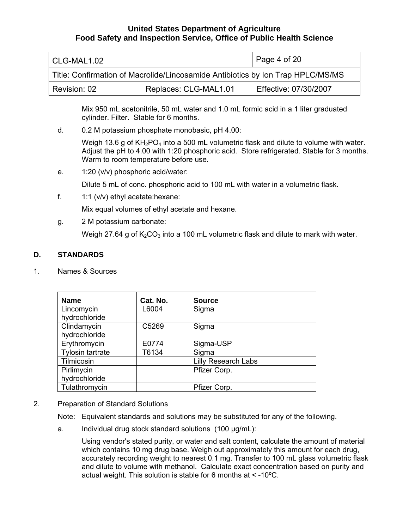<span id="page-3-0"></span>

| l CLG-MAL1.02                                                                   |  | Page 4 of 20          |
|---------------------------------------------------------------------------------|--|-----------------------|
| Title: Confirmation of Macrolide/Lincosamide Antibiotics by Ion Trap HPLC/MS/MS |  |                       |
| Replaces: CLG-MAL1.01<br>Revision: 02                                           |  | Effective: 07/30/2007 |

Mix 950 mL acetonitrile, 50 mL water and 1.0 mL formic acid in a 1 liter graduated cylinder. Filter. Stable for 6 months.

d. 0.2 M potassium phosphate monobasic, pH 4.00:

Weigh 13.6 g of  $KH<sub>2</sub>PO<sub>4</sub>$  into a 500 mL volumetric flask and dilute to volume with water. Adjust the pH to 4.00 with 1:20 phosphoric acid. Store refrigerated. Stable for 3 months. Warm to room temperature before use.

e. 1:20 (v/v) phosphoric acid/water:

Dilute 5 mL of conc. phosphoric acid to 100 mL with water in a volumetric flask.

f.  $1:1$  (v/v) ethyl acetate: hexane:

Mix equal volumes of ethyl acetate and hexane.

g. 2 M potassium carbonate:

Weigh 27.64 g of  $K_2CO_3$  into a 100 mL volumetric flask and dilute to mark with water.

#### **D. STANDARDS**

1. Names & Sources

| <b>Name</b>             | Cat. No. | <b>Source</b>              |
|-------------------------|----------|----------------------------|
| Lincomycin              | L6004    | Sigma                      |
| hydrochloride           |          |                            |
| Clindamycin             | C5269    | Sigma                      |
| hydrochloride           |          |                            |
| Erythromycin            | E0774    | Sigma-USP                  |
| <b>Tylosin tartrate</b> | T6134    | Sigma                      |
| Tilmicosin              |          | <b>Lilly Research Labs</b> |
| Pirlimycin              |          | Pfizer Corp.               |
| hydrochloride           |          |                            |
| Tulathromycin           |          | Pfizer Corp.               |

2. Preparation of Standard Solutions

Note: Equivalent standards and solutions may be substituted for any of the following.

a. Individual drug stock standard solutions (100 µg/mL):

Using vendor's stated purity, or water and salt content, calculate the amount of material which contains 10 mg drug base. Weigh out approximately this amount for each drug, accurately recording weight to nearest 0.1 mg. Transfer to 100 mL glass volumetric flask and dilute to volume with methanol. Calculate exact concentration based on purity and actual weight. This solution is stable for 6 months at < -10ºC.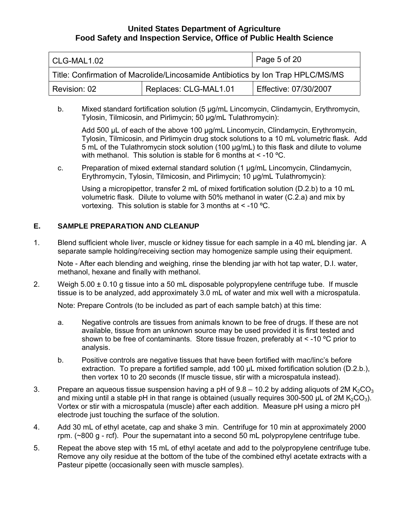<span id="page-4-0"></span>

| CLG-MAL1.02                                                                     |  | $\overline{1}$ Page 5 of 20 |
|---------------------------------------------------------------------------------|--|-----------------------------|
| Title: Confirmation of Macrolide/Lincosamide Antibiotics by Ion Trap HPLC/MS/MS |  |                             |
| Replaces: CLG-MAL1.01<br>Revision: 02                                           |  | Effective: 07/30/2007       |

b. Mixed standard fortification solution (5 µg/mL Lincomycin, Clindamycin, Erythromycin, Tylosin, Tilmicosin, and Pirlimycin; 50 µg/mL Tulathromycin):

Add 500 µL of each of the above 100 µg/mL Lincomycin, Clindamycin, Erythromycin, Tylosin, Tilmicosin, and Pirlimycin drug stock solutions to a 10 mL volumetric flask. Add 5 mL of the Tulathromycin stock solution (100 µg/mL) to this flask and dilute to volume with methanol. This solution is stable for 6 months at  $\leq$  -10 °C.

c. Preparation of mixed external standard solution (1 µg/mL Lincomycin, Clindamycin, Erythromycin, Tylosin, Tilmicosin, and Pirlimycin; 10 µg/mL Tulathromycin):

Using a micropipettor, transfer 2 mL of mixed fortification solution (D.2.b) to a 10 mL volumetric flask. Dilute to volume with 50% methanol in water (C.2.a) and mix by vortexing. This solution is stable for 3 months at  $\leq$  -10 °C.

## **E. SAMPLE PREPARATION AND CLEANUP**

1. Blend sufficient whole liver, muscle or kidney tissue for each sample in a 40 mL blending jar. A separate sample holding/receiving section may homogenize sample using their equipment.

Note - After each blending and weighing, rinse the blending jar with hot tap water, D.I. water, methanol, hexane and finally with methanol.

2. Weigh  $5.00 \pm 0.10$  g tissue into a 50 mL disposable polypropylene centrifuge tube. If muscle tissue is to be analyzed, add approximately 3.0 mL of water and mix well with a microspatula.

Note: Prepare Controls (to be included as part of each sample batch) at this time:

- a. Negative controls are tissues from animals known to be free of drugs. If these are not available, tissue from an unknown source may be used provided it is first tested and shown to be free of contaminants. Store tissue frozen, preferably at < -10 ºC prior to analysis.
- b. Positive controls are negative tissues that have been fortified with mac/linc's before extraction. To prepare a fortified sample, add 100 µL mixed fortification solution (D.2.b.), then vortex 10 to 20 seconds (If muscle tissue, stir with a microspatula instead).
- 3. Prepare an aqueous tissue suspension having a pH of  $9.8 10.2$  by adding aliquots of 2M K<sub>2</sub>CO<sub>3</sub> and mixing until a stable pH in that range is obtained (usually requires 300-500 µL of 2M K<sub>2</sub>CO<sub>3</sub>). Vortex or stir with a microspatula (muscle) after each addition. Measure pH using a micro pH electrode just touching the surface of the solution.
- 4. Add 30 mL of ethyl acetate, cap and shake 3 min. Centrifuge for 10 min at approximately 2000 rpm. (~800 g - rcf). Pour the supernatant into a second 50 mL polypropylene centrifuge tube.
- 5. Repeat the above step with 15 mL of ethyl acetate and add to the polypropylene centrifuge tube. Remove any oily residue at the bottom of the tube of the combined ethyl acetate extracts with a Pasteur pipette (occasionally seen with muscle samples).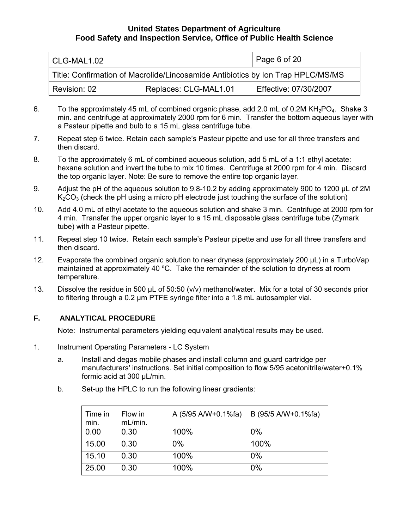<span id="page-5-0"></span>

| CLG-MAL1.02                                                                     |  | Page 6 of 20          |
|---------------------------------------------------------------------------------|--|-----------------------|
| Title: Confirmation of Macrolide/Lincosamide Antibiotics by Ion Trap HPLC/MS/MS |  |                       |
| Replaces: CLG-MAL1.01<br>Revision: 02                                           |  | Effective: 07/30/2007 |

- 6. To the approximately 45 mL of combined organic phase, add 2.0 mL of 0.2M  $KH<sub>2</sub>PO<sub>4</sub>$ . Shake 3 min. and centrifuge at approximately 2000 rpm for 6 min. Transfer the bottom aqueous layer with a Pasteur pipette and bulb to a 15 mL glass centrifuge tube.
- 7. Repeat step 6 twice. Retain each sample's Pasteur pipette and use for all three transfers and then discard.
- 8. To the approximately 6 mL of combined aqueous solution, add 5 mL of a 1:1 ethyl acetate: hexane solution and invert the tube to mix 10 times. Centrifuge at 2000 rpm for 4 min. Discard the top organic layer. Note: Be sure to remove the entire top organic layer.
- 9. Adjust the pH of the aqueous solution to 9.8-10.2 by adding approximately 900 to 1200 µL of 2M  $K_2CO_3$  (check the pH using a micro pH electrode just touching the surface of the solution)
- 10. Add 4.0 mL of ethyl acetate to the aqueous solution and shake 3 min. Centrifuge at 2000 rpm for 4 min. Transfer the upper organic layer to a 15 mL disposable glass centrifuge tube (Zymark tube) with a Pasteur pipette.
- 11. Repeat step 10 twice. Retain each sample's Pasteur pipette and use for all three transfers and then discard.
- 12. Evaporate the combined organic solution to near dryness (approximately 200 µL) in a TurboVap maintained at approximately 40 °C. Take the remainder of the solution to dryness at room temperature.
- 13. Dissolve the residue in 500 µL of 50:50 (v/v) methanol/water. Mix for a total of 30 seconds prior to filtering through a 0.2 µm PTFE syringe filter into a 1.8 mL autosampler vial.

# **F. ANALYTICAL PROCEDURE**

Note: Instrumental parameters yielding equivalent analytical results may be used.

- 1. Instrument Operating Parameters LC System
	- a. Install and degas mobile phases and install column and guard cartridge per manufacturers' instructions. Set initial composition to flow 5/95 acetonitrile/water+0.1% formic acid at 300 µL/min.
	- b. Set-up the HPLC to run the following linear gradients:

| Time in<br>min. | Flow in<br>mL/min. | A (5/95 A/W+0.1%fa) | B (95/5 A/W+0.1%fa) |
|-----------------|--------------------|---------------------|---------------------|
| 0.00            | 0.30               | 100%                | 0%                  |
| 15.00           | 0.30               | 0%                  | 100%                |
| 15.10           | 0.30               | 100%                | 0%                  |
| 25.00           | 0.30               | 100%                | 0%                  |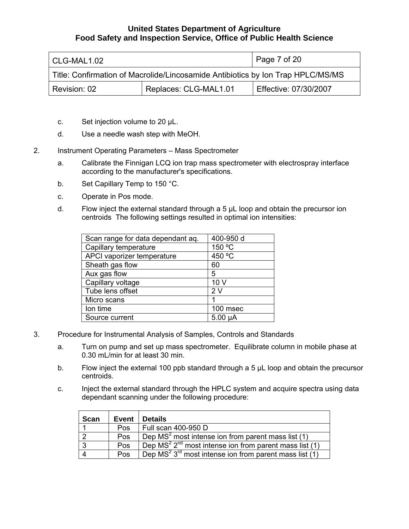| CLG-MAL1.02                                                                     |  | Page 7 of 20          |
|---------------------------------------------------------------------------------|--|-----------------------|
| Title: Confirmation of Macrolide/Lincosamide Antibiotics by Ion Trap HPLC/MS/MS |  |                       |
| Replaces: CLG-MAL1.01<br>Revision: 02                                           |  | Effective: 07/30/2007 |

- c. Set injection volume to 20 µL.
- d. Use a needle wash step with MeOH.
- 2. Instrument Operating Parameters Mass Spectrometer
	- a. Calibrate the Finnigan LCQ ion trap mass spectrometer with electrospray interface according to the manufacturer's specifications.
	- b. Set Capillary Temp to 150 °C.
	- c. Operate in Pos mode.
	- d. Flow inject the external standard through a  $5 \mu L$  loop and obtain the precursor ion centroids The following settings resulted in optimal ion intensities:

| Scan range for data dependant aq. | 400-950 d       |
|-----------------------------------|-----------------|
| Capillary temperature             | 150 °C          |
| APCI vaporizer temperature        | 450 °C          |
| Sheath gas flow                   | 60              |
| Aux gas flow                      | 5               |
| Capillary voltage                 | 10 <sub>V</sub> |
| Tube lens offset                  | 2V              |
| Micro scans                       |                 |
| lon time                          | 100 msec        |
| Source current                    | $5.00 \mu A$    |

- 3. Procedure for Instrumental Analysis of Samples, Controls and Standards
	- a. Turn on pump and set up mass spectrometer. Equilibrate column in mobile phase at 0.30 mL/min for at least 30 min.
	- b. Flow inject the external 100 ppb standard through a 5 µL loop and obtain the precursor centroids.
	- c. Inject the external standard through the HPLC system and acquire spectra using data dependant scanning under the following procedure:

| Scan | Event | <b>Details</b>                                           |
|------|-------|----------------------------------------------------------|
|      | Pos   | Full scan 400-950 D                                      |
| ົາ   | Pos   | Dep $MS2$ most intense ion from parent mass list (1)     |
| -3   | Pos   | Dep $MS2 2nd$ most intense ion from parent mass list (1) |
|      | Pos   | Dep $MS2 3rd$ most intense ion from parent mass list (1) |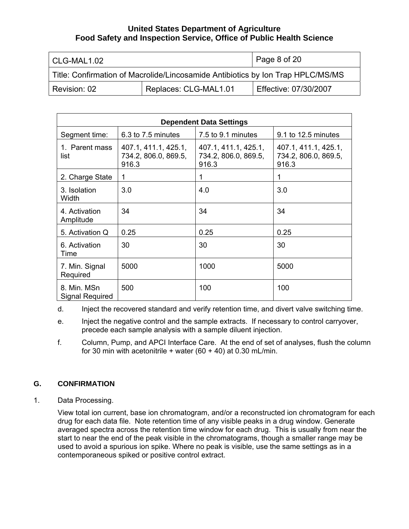<span id="page-7-0"></span>

| l CLG-MAL1.02 |                                                                                 | Page 8 of 20          |
|---------------|---------------------------------------------------------------------------------|-----------------------|
|               | Title: Confirmation of Macrolide/Lincosamide Antibiotics by Ion Trap HPLC/MS/MS |                       |
| Revision: 02  | Replaces: CLG-MAL1.01                                                           | Effective: 07/30/2007 |

| <b>Dependent Data Settings</b> |                                                       |                                                       |                                                       |  |
|--------------------------------|-------------------------------------------------------|-------------------------------------------------------|-------------------------------------------------------|--|
| Segment time:                  | 6.3 to 7.5 minutes                                    | 7.5 to 9.1 minutes                                    | 9.1 to 12.5 minutes                                   |  |
| 1. Parent mass<br>list         | 407.1, 411.1, 425.1,<br>734.2, 806.0, 869.5,<br>916.3 | 407.1, 411.1, 425.1,<br>734.2, 806.0, 869.5,<br>916.3 | 407.1, 411.1, 425.1,<br>734.2, 806.0, 869.5,<br>916.3 |  |
| 2. Charge State                | 1                                                     | 1                                                     | 1                                                     |  |
| 3. Isolation<br>Width          | 3.0                                                   | 4.0                                                   | 3.0                                                   |  |
| 4. Activation<br>Amplitude     | 34                                                    | 34                                                    | 34                                                    |  |
| 5. Activation Q                | 0.25                                                  | 0.25                                                  | 0.25                                                  |  |
| 6. Activation<br>Time          | 30                                                    | 30                                                    | 30                                                    |  |
| 7. Min. Signal<br>Required     | 5000                                                  | 1000                                                  | 5000                                                  |  |
| 8. Min. MSn<br>Signal Required | 500                                                   | 100                                                   | 100                                                   |  |

d. Inject the recovered standard and verify retention time, and divert valve switching time.

- e. Inject the negative control and the sample extracts. If necessary to control carryover, precede each sample analysis with a sample diluent injection.
- f. Column, Pump, and APCI Interface Care. At the end of set of analyses, flush the column for 30 min with acetonitrile + water  $(60 + 40)$  at 0.30 mL/min.

# **G. CONFIRMATION**

1. Data Processing.

View total ion current, base ion chromatogram, and/or a reconstructed ion chromatogram for each drug for each data file. Note retention time of any visible peaks in a drug window. Generate averaged spectra across the retention time window for each drug. This is usually from near the start to near the end of the peak visible in the chromatograms, though a smaller range may be used to avoid a spurious ion spike. Where no peak is visible, use the same settings as in a contemporaneous spiked or positive control extract.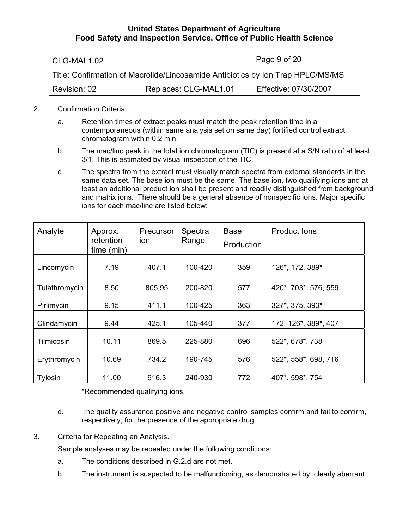| l CLG-MAL1.02                                                                   |                       | Page $9$ of $20$      |
|---------------------------------------------------------------------------------|-----------------------|-----------------------|
| Title: Confirmation of Macrolide/Lincosamide Antibiotics by Ion Trap HPLC/MS/MS |                       |                       |
| Revision: 02                                                                    | Replaces: CLG-MAL1.01 | Effective: 07/30/2007 |

- 2. Confirmation Criteria.
	- a. Retention times of extract peaks must match the peak retention time in a contemporaneous (within same analysis set on same day) fortified control extract chromatogram within 0.2 min.
	- b. The mac/linc peak in the total ion chromatogram (TIC) is present at a S/N ratio of at least 3/1. This is estimated by visual inspection of the TIC.
	- c. The spectra from the extract must visually match spectra from external standards in the same data set. The base ion must be the same. The base ion, two qualifying ions and at least an additional product ion shall be present and readily distinguished from background and matrix ions. There should be a general absence of nonspecific ions. Major specific ions for each mac/linc are listed below:

| Analyte       | Approx.<br>retention<br>time (min) | Precursor<br>ion | Spectra<br>Range | <b>Base</b><br>Production | Product lons         |
|---------------|------------------------------------|------------------|------------------|---------------------------|----------------------|
| Lincomycin    | 7.19                               | 407.1            | 100-420          | 359                       | 126*, 172, 389*      |
| Tulathromycin | 8.50                               | 805.95           | 200-820          | 577                       | 420*, 703*, 576, 559 |
| Pirlimycin    | 9.15                               | 411.1            | 100-425          | 363                       | 327*, 375, 393*      |
| Clindamycin   | 9.44                               | 425.1            | 105-440          | 377                       | 172, 126*, 389*, 407 |
| Tilmicosin    | 10.11                              | 869.5            | 225-880          | 696                       | 522*, 678*, 738      |
| Erythromycin  | 10.69                              | 734.2            | 190-745          | 576                       | 522*, 558*, 698, 716 |
| Tylosin       | 11.00                              | 916.3            | 240-930          | 772                       | 407*, 598*, 754      |

\*Recommended qualifying ions.

- d. The quality assurance positive and negative control samples confirm and fail to confirm, respectively, for the presence of the appropriate drug.
- 3. Criteria for Repeating an Analysis.

Sample analyses may be repeated under the following conditions:

- a. The conditions described in G.2.d are not met.
- b. The instrument is suspected to be malfunctioning, as demonstrated by: clearly aberrant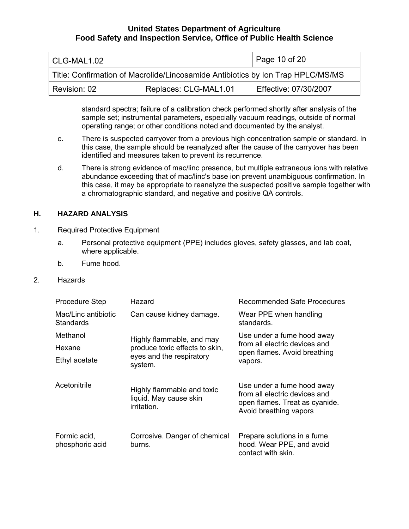<span id="page-9-0"></span>

| l CLG-MAL1.02                                                                   |                       | Page 10 of 20         |  |
|---------------------------------------------------------------------------------|-----------------------|-----------------------|--|
| Title: Confirmation of Macrolide/Lincosamide Antibiotics by Ion Trap HPLC/MS/MS |                       |                       |  |
| Revision: 02                                                                    | Replaces: CLG-MAL1.01 | Effective: 07/30/2007 |  |

standard spectra; failure of a calibration check performed shortly after analysis of the sample set; instrumental parameters, especially vacuum readings, outside of normal operating range; or other conditions noted and documented by the analyst.

- c. There is suspected carryover from a previous high concentration sample or standard. In this case, the sample should be reanalyzed after the cause of the carryover has been identified and measures taken to prevent its recurrence.
- d. There is strong evidence of mac/linc presence, but multiple extraneous ions with relative abundance exceeding that of mac/linc's base ion prevent unambiguous confirmation. In this case, it may be appropriate to reanalyze the suspected positive sample together with a chromatographic standard, and negative and positive QA controls.

#### **H. HAZARD ANALYSIS**

- 1. Required Protective Equipment
	- a. Personal protective equipment (PPE) includes gloves, safety glasses, and lab coat, where applicable.
	- b. Fume hood.
- 2. Hazards

| <b>Procedure Step</b>            | Hazard                                                              | Recommended Safe Procedures                                                                                             |
|----------------------------------|---------------------------------------------------------------------|-------------------------------------------------------------------------------------------------------------------------|
| Mac/Linc antibiotic<br>Standards | Can cause kidney damage.                                            | Wear PPE when handling<br>standards.                                                                                    |
| Methanol                         | Highly flammable, and may                                           | Use under a fume hood away                                                                                              |
| Hexane                           | produce toxic effects to skin,                                      | from all electric devices and<br>open flames. Avoid breathing                                                           |
| Ethyl acetate                    | eyes and the respiratory<br>system.                                 | vapors.                                                                                                                 |
| Acetonitrile                     | Highly flammable and toxic<br>liquid. May cause skin<br>irritation. | Use under a fume hood away<br>from all electric devices and<br>open flames. Treat as cyanide.<br>Avoid breathing vapors |
| Formic acid,<br>phosphoric acid  | Corrosive. Danger of chemical<br>burns.                             | Prepare solutions in a fume<br>hood. Wear PPE, and avoid<br>contact with skin.                                          |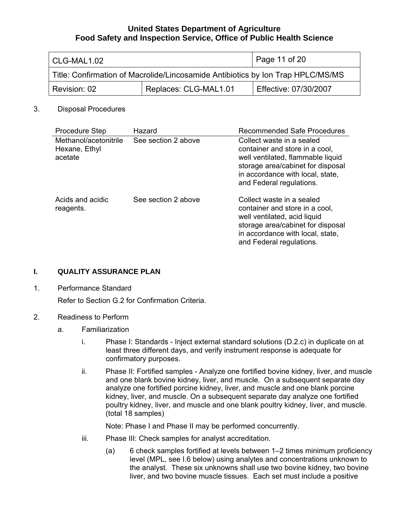<span id="page-10-0"></span>

| CLG-MAL1.02                                                                     |                       | Page 11 of 20         |
|---------------------------------------------------------------------------------|-----------------------|-----------------------|
| Title: Confirmation of Macrolide/Lincosamide Antibiotics by Ion Trap HPLC/MS/MS |                       |                       |
| Revision: 02                                                                    | Replaces: CLG-MAL1.01 | Effective: 07/30/2007 |

#### 3. Disposal Procedures

| <b>Procedure Step</b>                             | Hazard              | Recommended Safe Procedures                                                                                                                                                                           |
|---------------------------------------------------|---------------------|-------------------------------------------------------------------------------------------------------------------------------------------------------------------------------------------------------|
| Methanol/acetonitrile<br>Hexane, Ethyl<br>acetate | See section 2 above | Collect waste in a sealed<br>container and store in a cool,<br>well ventilated, flammable liquid<br>storage area/cabinet for disposal<br>in accordance with local, state,<br>and Federal regulations. |
| Acids and acidic<br>reagents.                     | See section 2 above | Collect waste in a sealed<br>container and store in a cool,<br>well ventilated, acid liquid<br>storage area/cabinet for disposal<br>in accordance with local, state,<br>and Federal regulations.      |

#### **I. QUALITY ASSURANCE PLAN**

1. Performance Standard

Refer to Section G.2 for Confirmation Criteria.

### 2. Readiness to Perform

- a. Familiarization
	- i. Phase I: Standards Inject external standard solutions (D.2.c) in duplicate on at least three different days, and verify instrument response is adequate for confirmatory purposes.
	- ii. Phase II: Fortified samples Analyze one fortified bovine kidney, liver, and muscle and one blank bovine kidney, liver, and muscle. On a subsequent separate day analyze one fortified porcine kidney, liver, and muscle and one blank porcine kidney, liver, and muscle. On a subsequent separate day analyze one fortified poultry kidney, liver, and muscle and one blank poultry kidney, liver, and muscle. (total 18 samples)

Note: Phase I and Phase II may be performed concurrently.

- iii. Phase III: Check samples for analyst accreditation.
	- (a) 6 check samples fortified at levels between 1–2 times minimum proficiency level (MPL, see I.6 below) using analytes and concentrations unknown to the analyst. These six unknowns shall use two bovine kidney, two bovine liver, and two bovine muscle tissues. Each set must include a positive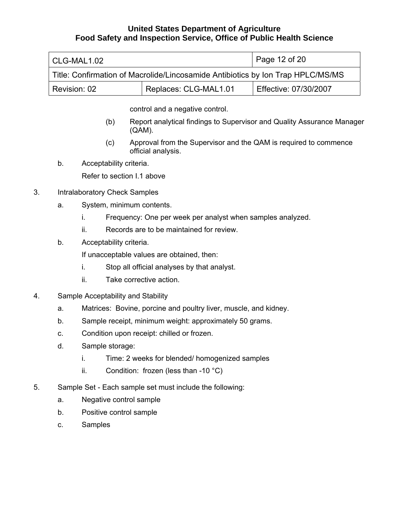| CLG-MAL1.02                                                                     |                       | Page 12 of 20         |
|---------------------------------------------------------------------------------|-----------------------|-----------------------|
| Title: Confirmation of Macrolide/Lincosamide Antibiotics by Ion Trap HPLC/MS/MS |                       |                       |
| Revision: 02                                                                    | Replaces: CLG-MAL1.01 | Effective: 07/30/2007 |

control and a negative control.

- (b) Report analytical findings to Supervisor and Quality Assurance Manager (QAM).
- (c) Approval from the Supervisor and the QAM is required to commence official analysis.
- b. Acceptability criteria.

Refer to section I.1 above

- 3. Intralaboratory Check Samples
	- a. System, minimum contents.
		- i. Frequency: One per week per analyst when samples analyzed.
		- ii. Records are to be maintained for review.
	- b. Acceptability criteria.

If unacceptable values are obtained, then:

- i. Stop all official analyses by that analyst.
- ii. Take corrective action.
- 4. Sample Acceptability and Stability
	- a. Matrices: Bovine, porcine and poultry liver, muscle, and kidney.
	- b. Sample receipt, minimum weight: approximately 50 grams.
	- c. Condition upon receipt: chilled or frozen.
	- d. Sample storage:
		- i. Time: 2 weeks for blended/ homogenized samples
		- ii. Condition: frozen (less than -10  $^{\circ}$ C)
- 5. Sample Set Each sample set must include the following:
	- a. Negative control sample
	- b. Positive control sample
	- c. Samples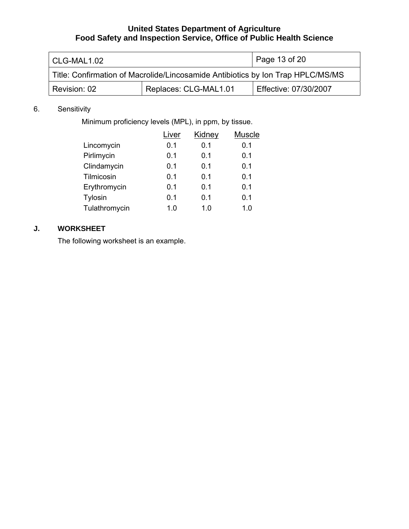<span id="page-12-0"></span>

| CLG-MAL1.02                                                                     |                       | Page 13 of 20         |
|---------------------------------------------------------------------------------|-----------------------|-----------------------|
| Title: Confirmation of Macrolide/Lincosamide Antibiotics by Ion Trap HPLC/MS/MS |                       |                       |
| Revision: 02                                                                    | Replaces: CLG-MAL1.01 | Effective: 07/30/2007 |

# 6. Sensitivity

Minimum proficiency levels (MPL), in ppm, by tissue.

|               | Liver | Kidney | Muscle |
|---------------|-------|--------|--------|
| Lincomycin    | 0.1   | 0.1    | 0.1    |
| Pirlimycin    | 0.1   | 0.1    | 0.1    |
| Clindamycin   | 0.1   | 0.1    | 0.1    |
| Tilmicosin    | 0.1   | 0.1    | 0.1    |
| Erythromycin  | 0.1   | 0.1    | 0.1    |
| Tylosin       | 0.1   | 0.1    | 0.1    |
| Tulathromycin | 1.0   | 1.0    | 1.0    |

# **J. WORKSHEET**

The following worksheet is an example.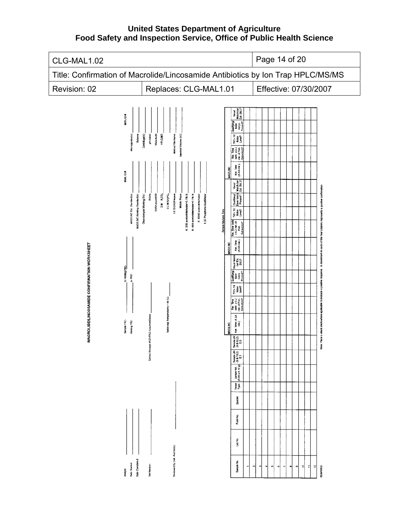**United States Department of Agriculture Food Safety and Inspection Service, Office of Public Health Science** 

| CLG-MAL1.02                                                                                                                                                                                                                                                                                                                                                                                                                                                                                                                                                                                                                                                                                                                                                                                                                           | Page 14 of 20                                                                                                                                                                                                                                                                                                                                                                                                                                                                                                                                                                                                                                                                                                                                                                                                                                                                                                                                                                                                                                                                                                                                                                                                                                                    |  |  |  |
|---------------------------------------------------------------------------------------------------------------------------------------------------------------------------------------------------------------------------------------------------------------------------------------------------------------------------------------------------------------------------------------------------------------------------------------------------------------------------------------------------------------------------------------------------------------------------------------------------------------------------------------------------------------------------------------------------------------------------------------------------------------------------------------------------------------------------------------|------------------------------------------------------------------------------------------------------------------------------------------------------------------------------------------------------------------------------------------------------------------------------------------------------------------------------------------------------------------------------------------------------------------------------------------------------------------------------------------------------------------------------------------------------------------------------------------------------------------------------------------------------------------------------------------------------------------------------------------------------------------------------------------------------------------------------------------------------------------------------------------------------------------------------------------------------------------------------------------------------------------------------------------------------------------------------------------------------------------------------------------------------------------------------------------------------------------------------------------------------------------|--|--|--|
| Title: Confirmation of Macrolide/Lincosamide Antibiotics by Ion Trap HPLC/MS/MS                                                                                                                                                                                                                                                                                                                                                                                                                                                                                                                                                                                                                                                                                                                                                       |                                                                                                                                                                                                                                                                                                                                                                                                                                                                                                                                                                                                                                                                                                                                                                                                                                                                                                                                                                                                                                                                                                                                                                                                                                                                  |  |  |  |
| Revision: 02<br>Replaces: CLG-MAL1.01                                                                                                                                                                                                                                                                                                                                                                                                                                                                                                                                                                                                                                                                                                                                                                                                 | Effective: 07/30/2007                                                                                                                                                                                                                                                                                                                                                                                                                                                                                                                                                                                                                                                                                                                                                                                                                                                                                                                                                                                                                                                                                                                                                                                                                                            |  |  |  |
| <b>MAVIL ID &amp;</b><br>Micropipettor(s):<br>Centrifuge(s):<br>Waterbath:<br>Injection Volume (uL):<br>pH meter:<br>HPLOMS:<br><b>Balance</b><br>Method File Name<br>MWL ID#<br><b>\$3/50 mechH20</b><br>0.2 M IO HPO<br>MACAINC Ext. Standard(s):<br>MACA INC Working Standard(s):<br>BOAc<br>2 M K <sub>2</sub> CO <sub>3</sub><br>1:1 BOACA lexane<br><b>Mobile Phase</b><br>A. 5/95 acetonic@edwater+0.1% fa<br>Oleandomycin Working Std.<br>B. 95/5 acetonizie/water+0.1% fa<br>C. 60/40 acetoninferwater<br>1:20 Phosphonic AcidWate<br>MACROLIDE/LINCOSAMIDE CONFIRMATION WORKSHEET<br>to Holding FRZ<br>to FRZ-<br>Tuto-vap Temperature (- 40 C):<br>Extract Storage (REF/FRZ) Location/Dates:<br>Sample FRZ-<br>Holding FRZ-<br>Reviewed By (Int. And Date):<br>Date Completed:<br>Date Started:<br>Set Namber:<br>Analyst: | Visual<br>Match (w/<br>Ext. Std.)?<br>Qualifying<br>Base<br>Present?<br>Present?<br>TC- 3X<br>Notes<br>Level?<br>$Ret$ . Time<br>(with $\pm 0.2$<br>min. of Fort<br>Extract(s))?<br>Ret.Time<br>(X.XX.min.)<br><b>MAC/LINC</b><br>Visual<br>Match (wy<br>Ext. Std.)?<br>A checkmark in each of the four columns represents a positive confirmation<br>Qualifying<br>Base lon(s)<br>Present?<br>TIC-3X<br>Notes<br>Lovel?<br>Sample Analysis Data<br>Ret. Time (with<br>x 0.2 min. of<br>Extract(s))?<br>Extract(s))?<br>Ret. Time<br>(XXX mm.)<br>MAC/LINC<br>Visual Match<br>(w/Ed.<br>Std.)?<br>response.<br>Qualifying/<br>Base<br>Present?<br>Present?<br>applicable to indicate a positive<br>TIC-3X<br>Noise<br>Level?<br>Ret Time<br>(Wifi ± 0.2<br>Extract(5))?<br>Note: Place a check mark where<br>Ref. Time (X,XX)<br>$\begin{bmatrix}mn\\mn\end{bmatrix}$<br>MACAINC<br>Sample pH<br>(9.6-10.2)<br>E.5<br>$\begin{array}{c} \text{Source W.} \\ \text{(5.00} \pm 0.10 \text{ g}) \\ \text{(5.00} \pm 0.10 \text{ g}) \\ \text{E.1} \end{array}$<br>isse<br>Pe<br>Species<br>Form No.<br>Lab No.<br>Sample No.<br>$\equiv$<br>쒸<br>且<br><b>REMARKS:</b><br>u)<br>$\pmb{\omega}$<br>$\tilde{\phantom{a}}$<br>$\bullet$<br>$\omega$<br>$\sim$<br>s<br>× |  |  |  |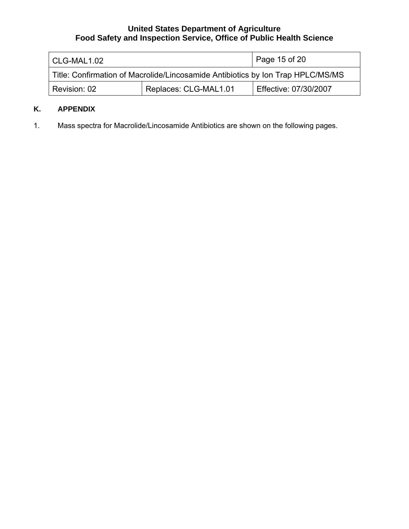<span id="page-14-0"></span>

| CLG-MAL1.02                                                                     |                       | Page 15 of 20         |  |
|---------------------------------------------------------------------------------|-----------------------|-----------------------|--|
| Title: Confirmation of Macrolide/Lincosamide Antibiotics by Ion Trap HPLC/MS/MS |                       |                       |  |
| Revision: 02                                                                    | Replaces: CLG-MAL1.01 | Effective: 07/30/2007 |  |

# **K. APPENDIX**

1. Mass spectra for Macrolide/Lincosamide Antibiotics are shown on the following pages.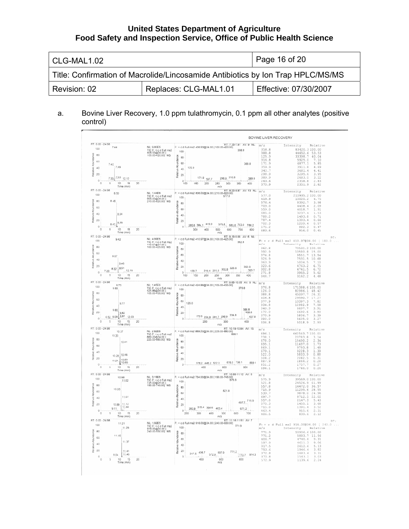| CLG-MAL1.02  |                                                                                 | Page 16 of 20         |  |
|--------------|---------------------------------------------------------------------------------|-----------------------|--|
|              | Title: Confirmation of Macrolide/Lincosamide Antibiotics by Ion Trap HPLC/MS/MS |                       |  |
| Revision: 02 | Replaces: CLG-MAL1.01                                                           | Effective: 07/30/2007 |  |

## a. Bovine Liver Recovery, 1.0 ppm tulathromycin, 0.1 ppm all other analytes (positive control)

| RT: 0.00 - 24.98<br>F: + c d Full ms2 406.93@34.00 [ 100.00-420.00]<br>7.44<br>NL: 9.80E5<br>100<br>TIC F: + c d Full ms2<br>$100 -$<br>406.93@34.00  <br>100.00-420.00   MS<br>Abundance<br>80<br>60<br>7.40<br>7.49<br>$40 - 125.9$<br>Relative<br>$20 -$<br>$7.35$ $7.53$ $12.12$<br>298,9 316.8<br>171.9 197.7<br>$\circ$<br>$10 \t 15$<br>$\overline{\mathbf{5}}$<br>$\circ$<br>100<br>200<br>250<br>300<br>20<br>150<br>350<br>Time (min)<br>m/z<br>RT: 8.23-8.87 AV: 13 NL:<br>NL: 1.44E6<br>F: + c d Full ms2 806.00@34.00 [ 210.00-820.00]<br>8.50<br>TIC F: + c d Full ms2<br>806.00@34.00 [<br>210.00-820.00] MS<br>577.0<br>$100 -$<br>8.46<br>Abundance<br>80<br>60<br>8.54<br>40<br>Relative<br>20 <sup>2</sup><br>$8.41 \begin{array}{ c } \hline 8.59 \end{array}$<br>285.8 384.1 419.9<br>576.4 683.6 703.0 788.2<br>$0 -$<br>ó<br>Á.<br>10<br>15<br>20<br>300<br>400<br>500<br>600<br>Time (min)<br>m/z<br>RT: 9.19-9.55 AV: 6 NL<br>NL: 4.99F5<br>F: + c d Full ms2 410.97@34.00 [ 100.00-425.00]<br>9.42<br>TIC F: + c d Full ms2<br>410.97@34.00 [<br>100.00-425.00] MS<br>100<br>Abundance<br>80<br>60<br>9.37<br>40<br>Relative<br>9.46<br>$20 -$<br>8.32 9.51<br>210.4 251.5 302.8 326.9<br>$\frac{1}{10}$ 12.19<br>139.7<br>7.29<br>$\circ$<br>ó<br>ś<br>200<br>250<br>20<br>100<br>150<br>300<br>350<br>Time (min)<br>m/z<br>F: + c d Full ms2 424.86@34.00 [ 105.00-435.00]<br>NL: 1.45E6<br>0.73<br>9.69<br>TIC F: + c d Full ms2<br>100<br>424.86@34.00 [<br>Relative Abundance<br>80<br>60<br>126.0<br>9.77<br>$40 -$<br>9.65<br>9.82<br>$20 -$<br>172.0 224.8 281.7 298.9 334.8<br>6.52 8.09 9.87 12.03<br>$0^{-}$<br>5<br>10<br>15<br>200<br>300<br>Ö<br>20<br>Time (min)<br>m/z<br>RT: 10.19-10.84 AV: 15<br>NL: 2.92E6<br>10.37<br>TIC F: + c d Full ms2<br>869.20@34.00 [<br>225.00-880.00] MS<br>100<br>10.33<br>Abundance<br>80<br>10.41<br>60<br>40<br>Relative<br>10.46<br>10.28<br>$20 -$<br>$10.24$ $10.50$ $10.65$<br>678,0 738.1<br>378.2 448.2 522.0<br>$\circ$<br>15<br>400<br>$\Box$<br>5<br>10<br>20<br>600<br>Time (min)<br>m/z<br>RT: 10.89-11.12 AV: 6<br>NL: 3.19E5<br>F: + c d Full ms2 734.00@34.00 [ 190.00-745.00]<br>[575.9 – 190.00<br>10.98<br>TIC F: + c d Full ms2<br>734.00@34.00 [<br>190.00-745.00] MS<br>11.02<br>100<br>Abundance<br>80<br>10.93<br>521.8<br>60<br>11.07<br>40 <sub>1</sub><br>g<br>Relati<br>10.89 11.12<br>20<br>11.60<br>315.4 364.6 463.4<br>9.11<br>283.9<br>0 | RT: 7.35-7.81 AV: 9 NL:<br>358.8<br>388.8<br>389.9<br>400 | m/z<br>358.8<br>388.8<br>125.9<br>316.8<br>171.9 | Intensity<br>83420.3100.00<br>44652.6 53.53<br>33398.7 40.04                                       | Relative     |
|------------------------------------------------------------------------------------------------------------------------------------------------------------------------------------------------------------------------------------------------------------------------------------------------------------------------------------------------------------------------------------------------------------------------------------------------------------------------------------------------------------------------------------------------------------------------------------------------------------------------------------------------------------------------------------------------------------------------------------------------------------------------------------------------------------------------------------------------------------------------------------------------------------------------------------------------------------------------------------------------------------------------------------------------------------------------------------------------------------------------------------------------------------------------------------------------------------------------------------------------------------------------------------------------------------------------------------------------------------------------------------------------------------------------------------------------------------------------------------------------------------------------------------------------------------------------------------------------------------------------------------------------------------------------------------------------------------------------------------------------------------------------------------------------------------------------------------------------------------------------------------------------------------------------------------------------------------------------------------------------------------------------------------------------------------------------------------------------------------------------------------------------------------------------------------------------------------------------------------------------------------------------------------------------------------------------------------------------------------------------------------------------------------------------------------------------------|-----------------------------------------------------------|--------------------------------------------------|----------------------------------------------------------------------------------------------------|--------------|
| 80<br>60<br>40<br>20<br>$\circ$<br>RT: 0.00 - 24 98<br>100<br>80<br>A0<br>40<br>20<br>ō-<br>RT: 0.00 - 24.98<br>100<br>80<br>60<br>40<br>20<br>$\alpha$<br>RT: 0.00 - 24.98<br>$100 -$<br>80<br>60<br>40<br>$20 -$<br>$\circ$<br>RT: 0.00 + 24.98<br>100<br>80<br>60<br>40<br>20<br>Ö<br>RT 0.00 - 24 98<br>100<br>80<br>60<br>40<br>20<br>$\circ$                                                                                                                                                                                                                                                                                                                                                                                                                                                                                                                                                                                                                                                                                                                                                                                                                                                                                                                                                                                                                                                                                                                                                                                                                                                                                                                                                                                                                                                                                                                                                                                                                                                                                                                                                                                                                                                                                                                                                                                                                                                                                                   |                                                           |                                                  |                                                                                                    |              |
|                                                                                                                                                                                                                                                                                                                                                                                                                                                                                                                                                                                                                                                                                                                                                                                                                                                                                                                                                                                                                                                                                                                                                                                                                                                                                                                                                                                                                                                                                                                                                                                                                                                                                                                                                                                                                                                                                                                                                                                                                                                                                                                                                                                                                                                                                                                                                                                                                                                      |                                                           |                                                  |                                                                                                    |              |
|                                                                                                                                                                                                                                                                                                                                                                                                                                                                                                                                                                                                                                                                                                                                                                                                                                                                                                                                                                                                                                                                                                                                                                                                                                                                                                                                                                                                                                                                                                                                                                                                                                                                                                                                                                                                                                                                                                                                                                                                                                                                                                                                                                                                                                                                                                                                                                                                                                                      |                                                           |                                                  |                                                                                                    |              |
|                                                                                                                                                                                                                                                                                                                                                                                                                                                                                                                                                                                                                                                                                                                                                                                                                                                                                                                                                                                                                                                                                                                                                                                                                                                                                                                                                                                                                                                                                                                                                                                                                                                                                                                                                                                                                                                                                                                                                                                                                                                                                                                                                                                                                                                                                                                                                                                                                                                      |                                                           |                                                  |                                                                                                    |              |
|                                                                                                                                                                                                                                                                                                                                                                                                                                                                                                                                                                                                                                                                                                                                                                                                                                                                                                                                                                                                                                                                                                                                                                                                                                                                                                                                                                                                                                                                                                                                                                                                                                                                                                                                                                                                                                                                                                                                                                                                                                                                                                                                                                                                                                                                                                                                                                                                                                                      |                                                           |                                                  | 5925.0 7.10                                                                                        |              |
|                                                                                                                                                                                                                                                                                                                                                                                                                                                                                                                                                                                                                                                                                                                                                                                                                                                                                                                                                                                                                                                                                                                                                                                                                                                                                                                                                                                                                                                                                                                                                                                                                                                                                                                                                                                                                                                                                                                                                                                                                                                                                                                                                                                                                                                                                                                                                                                                                                                      |                                                           | 359.9                                            | 4877.1<br>3911.8                                                                                   | 5.85<br>4.69 |
|                                                                                                                                                                                                                                                                                                                                                                                                                                                                                                                                                                                                                                                                                                                                                                                                                                                                                                                                                                                                                                                                                                                                                                                                                                                                                                                                                                                                                                                                                                                                                                                                                                                                                                                                                                                                                                                                                                                                                                                                                                                                                                                                                                                                                                                                                                                                                                                                                                                      |                                                           | 340.7                                            | 3681.4                                                                                             | 4.41         |
|                                                                                                                                                                                                                                                                                                                                                                                                                                                                                                                                                                                                                                                                                                                                                                                                                                                                                                                                                                                                                                                                                                                                                                                                                                                                                                                                                                                                                                                                                                                                                                                                                                                                                                                                                                                                                                                                                                                                                                                                                                                                                                                                                                                                                                                                                                                                                                                                                                                      |                                                           | 298.9                                            | 3295.6                                                                                             | 3.95         |
|                                                                                                                                                                                                                                                                                                                                                                                                                                                                                                                                                                                                                                                                                                                                                                                                                                                                                                                                                                                                                                                                                                                                                                                                                                                                                                                                                                                                                                                                                                                                                                                                                                                                                                                                                                                                                                                                                                                                                                                                                                                                                                                                                                                                                                                                                                                                                                                                                                                      |                                                           | 389.9                                            | 2683.0                                                                                             | 3.22         |
|                                                                                                                                                                                                                                                                                                                                                                                                                                                                                                                                                                                                                                                                                                                                                                                                                                                                                                                                                                                                                                                                                                                                                                                                                                                                                                                                                                                                                                                                                                                                                                                                                                                                                                                                                                                                                                                                                                                                                                                                                                                                                                                                                                                                                                                                                                                                                                                                                                                      |                                                           | 263.6                                            | 2358.8                                                                                             | 2.83         |
|                                                                                                                                                                                                                                                                                                                                                                                                                                                                                                                                                                                                                                                                                                                                                                                                                                                                                                                                                                                                                                                                                                                                                                                                                                                                                                                                                                                                                                                                                                                                                                                                                                                                                                                                                                                                                                                                                                                                                                                                                                                                                                                                                                                                                                                                                                                                                                                                                                                      |                                                           | 370.9                                            | 2351.9                                                                                             | 2.82         |
|                                                                                                                                                                                                                                                                                                                                                                                                                                                                                                                                                                                                                                                                                                                                                                                                                                                                                                                                                                                                                                                                                                                                                                                                                                                                                                                                                                                                                                                                                                                                                                                                                                                                                                                                                                                                                                                                                                                                                                                                                                                                                                                                                                                                                                                                                                                                                                                                                                                      |                                                           | m/z                                              |                                                                                                    | Relative     |
|                                                                                                                                                                                                                                                                                                                                                                                                                                                                                                                                                                                                                                                                                                                                                                                                                                                                                                                                                                                                                                                                                                                                                                                                                                                                                                                                                                                                                                                                                                                                                                                                                                                                                                                                                                                                                                                                                                                                                                                                                                                                                                                                                                                                                                                                                                                                                                                                                                                      |                                                           | 577.0                                            | Intensity<br>210935.2100.00                                                                        |              |
|                                                                                                                                                                                                                                                                                                                                                                                                                                                                                                                                                                                                                                                                                                                                                                                                                                                                                                                                                                                                                                                                                                                                                                                                                                                                                                                                                                                                                                                                                                                                                                                                                                                                                                                                                                                                                                                                                                                                                                                                                                                                                                                                                                                                                                                                                                                                                                                                                                                      |                                                           | 419.9                                            | 10020.2 4.75                                                                                       |              |
|                                                                                                                                                                                                                                                                                                                                                                                                                                                                                                                                                                                                                                                                                                                                                                                                                                                                                                                                                                                                                                                                                                                                                                                                                                                                                                                                                                                                                                                                                                                                                                                                                                                                                                                                                                                                                                                                                                                                                                                                                                                                                                                                                                                                                                                                                                                                                                                                                                                      |                                                           | 576.4                                            | 8392.7                                                                                             | 3.98         |
|                                                                                                                                                                                                                                                                                                                                                                                                                                                                                                                                                                                                                                                                                                                                                                                                                                                                                                                                                                                                                                                                                                                                                                                                                                                                                                                                                                                                                                                                                                                                                                                                                                                                                                                                                                                                                                                                                                                                                                                                                                                                                                                                                                                                                                                                                                                                                                                                                                                      |                                                           | 703.0                                            | 4408.4                                                                                             | 2.09         |
|                                                                                                                                                                                                                                                                                                                                                                                                                                                                                                                                                                                                                                                                                                                                                                                                                                                                                                                                                                                                                                                                                                                                                                                                                                                                                                                                                                                                                                                                                                                                                                                                                                                                                                                                                                                                                                                                                                                                                                                                                                                                                                                                                                                                                                                                                                                                                                                                                                                      |                                                           | 559.0                                            | 4018.7                                                                                             | 1.91         |
|                                                                                                                                                                                                                                                                                                                                                                                                                                                                                                                                                                                                                                                                                                                                                                                                                                                                                                                                                                                                                                                                                                                                                                                                                                                                                                                                                                                                                                                                                                                                                                                                                                                                                                                                                                                                                                                                                                                                                                                                                                                                                                                                                                                                                                                                                                                                                                                                                                                      |                                                           | 685.0                                            | 3237.4                                                                                             | 1.53         |
|                                                                                                                                                                                                                                                                                                                                                                                                                                                                                                                                                                                                                                                                                                                                                                                                                                                                                                                                                                                                                                                                                                                                                                                                                                                                                                                                                                                                                                                                                                                                                                                                                                                                                                                                                                                                                                                                                                                                                                                                                                                                                                                                                                                                                                                                                                                                                                                                                                                      |                                                           | 788.2                                            | 1493.8                                                                                             | 0.71         |
|                                                                                                                                                                                                                                                                                                                                                                                                                                                                                                                                                                                                                                                                                                                                                                                                                                                                                                                                                                                                                                                                                                                                                                                                                                                                                                                                                                                                                                                                                                                                                                                                                                                                                                                                                                                                                                                                                                                                                                                                                                                                                                                                                                                                                                                                                                                                                                                                                                                      |                                                           | 787.4                                            | 1393.4                                                                                             | 0.66<br>0.57 |
|                                                                                                                                                                                                                                                                                                                                                                                                                                                                                                                                                                                                                                                                                                                                                                                                                                                                                                                                                                                                                                                                                                                                                                                                                                                                                                                                                                                                                                                                                                                                                                                                                                                                                                                                                                                                                                                                                                                                                                                                                                                                                                                                                                                                                                                                                                                                                                                                                                                      |                                                           | 702.3<br>575.2                                   | 1209.4<br>982.3                                                                                    | 0.47         |
|                                                                                                                                                                                                                                                                                                                                                                                                                                                                                                                                                                                                                                                                                                                                                                                                                                                                                                                                                                                                                                                                                                                                                                                                                                                                                                                                                                                                                                                                                                                                                                                                                                                                                                                                                                                                                                                                                                                                                                                                                                                                                                                                                                                                                                                                                                                                                                                                                                                      | 700<br>800                                                | 683.6                                            |                                                                                                    | 956.0 0.45   |
|                                                                                                                                                                                                                                                                                                                                                                                                                                                                                                                                                                                                                                                                                                                                                                                                                                                                                                                                                                                                                                                                                                                                                                                                                                                                                                                                                                                                                                                                                                                                                                                                                                                                                                                                                                                                                                                                                                                                                                                                                                                                                                                                                                                                                                                                                                                                                                                                                                                      |                                                           |                                                  |                                                                                                    |              |
|                                                                                                                                                                                                                                                                                                                                                                                                                                                                                                                                                                                                                                                                                                                                                                                                                                                                                                                                                                                                                                                                                                                                                                                                                                                                                                                                                                                                                                                                                                                                                                                                                                                                                                                                                                                                                                                                                                                                                                                                                                                                                                                                                                                                                                                                                                                                                                                                                                                      |                                                           |                                                  |                                                                                                    |              |
|                                                                                                                                                                                                                                                                                                                                                                                                                                                                                                                                                                                                                                                                                                                                                                                                                                                                                                                                                                                                                                                                                                                                                                                                                                                                                                                                                                                                                                                                                                                                                                                                                                                                                                                                                                                                                                                                                                                                                                                                                                                                                                                                                                                                                                                                                                                                                                                                                                                      | 362.8                                                     |                                                  | $F: + c d$ Full ms2 410.97@34.00 [ 100.0                                                           |              |
|                                                                                                                                                                                                                                                                                                                                                                                                                                                                                                                                                                                                                                                                                                                                                                                                                                                                                                                                                                                                                                                                                                                                                                                                                                                                                                                                                                                                                                                                                                                                                                                                                                                                                                                                                                                                                                                                                                                                                                                                                                                                                                                                                                                                                                                                                                                                                                                                                                                      |                                                           | m/z                                              | Intensity Relative                                                                                 |              |
|                                                                                                                                                                                                                                                                                                                                                                                                                                                                                                                                                                                                                                                                                                                                                                                                                                                                                                                                                                                                                                                                                                                                                                                                                                                                                                                                                                                                                                                                                                                                                                                                                                                                                                                                                                                                                                                                                                                                                                                                                                                                                                                                                                                                                                                                                                                                                                                                                                                      |                                                           | 362.8                                            | 70531.2 100.00                                                                                     |              |
|                                                                                                                                                                                                                                                                                                                                                                                                                                                                                                                                                                                                                                                                                                                                                                                                                                                                                                                                                                                                                                                                                                                                                                                                                                                                                                                                                                                                                                                                                                                                                                                                                                                                                                                                                                                                                                                                                                                                                                                                                                                                                                                                                                                                                                                                                                                                                                                                                                                      |                                                           | 392.9<br>374.8                                   | 10580.8 15.00<br>9551.7 13.54                                                                      |              |
|                                                                                                                                                                                                                                                                                                                                                                                                                                                                                                                                                                                                                                                                                                                                                                                                                                                                                                                                                                                                                                                                                                                                                                                                                                                                                                                                                                                                                                                                                                                                                                                                                                                                                                                                                                                                                                                                                                                                                                                                                                                                                                                                                                                                                                                                                                                                                                                                                                                      |                                                           | 326.9                                            | 7531.5 10.68                                                                                       |              |
|                                                                                                                                                                                                                                                                                                                                                                                                                                                                                                                                                                                                                                                                                                                                                                                                                                                                                                                                                                                                                                                                                                                                                                                                                                                                                                                                                                                                                                                                                                                                                                                                                                                                                                                                                                                                                                                                                                                                                                                                                                                                                                                                                                                                                                                                                                                                                                                                                                                      |                                                           | 363.9                                            | 5004.5                                                                                             | 7.10         |
|                                                                                                                                                                                                                                                                                                                                                                                                                                                                                                                                                                                                                                                                                                                                                                                                                                                                                                                                                                                                                                                                                                                                                                                                                                                                                                                                                                                                                                                                                                                                                                                                                                                                                                                                                                                                                                                                                                                                                                                                                                                                                                                                                                                                                                                                                                                                                                                                                                                      | 392.9                                                     | 320.6                                            | 4763.2                                                                                             | 6.75         |
|                                                                                                                                                                                                                                                                                                                                                                                                                                                                                                                                                                                                                                                                                                                                                                                                                                                                                                                                                                                                                                                                                                                                                                                                                                                                                                                                                                                                                                                                                                                                                                                                                                                                                                                                                                                                                                                                                                                                                                                                                                                                                                                                                                                                                                                                                                                                                                                                                                                      | 393.7                                                     | 302.8                                            | 4741.5                                                                                             |              |
|                                                                                                                                                                                                                                                                                                                                                                                                                                                                                                                                                                                                                                                                                                                                                                                                                                                                                                                                                                                                                                                                                                                                                                                                                                                                                                                                                                                                                                                                                                                                                                                                                                                                                                                                                                                                                                                                                                                                                                                                                                                                                                                                                                                                                                                                                                                                                                                                                                                      |                                                           | 271.8                                            | 3965.2                                                                                             | 6.72<br>5.62 |
|                                                                                                                                                                                                                                                                                                                                                                                                                                                                                                                                                                                                                                                                                                                                                                                                                                                                                                                                                                                                                                                                                                                                                                                                                                                                                                                                                                                                                                                                                                                                                                                                                                                                                                                                                                                                                                                                                                                                                                                                                                                                                                                                                                                                                                                                                                                                                                                                                                                      | 400                                                       | 344.7                                            | $3162.2$ 4.48                                                                                      |              |
|                                                                                                                                                                                                                                                                                                                                                                                                                                                                                                                                                                                                                                                                                                                                                                                                                                                                                                                                                                                                                                                                                                                                                                                                                                                                                                                                                                                                                                                                                                                                                                                                                                                                                                                                                                                                                                                                                                                                                                                                                                                                                                                                                                                                                                                                                                                                                                                                                                                      | RT: 9.65-10.05 AV: 9 NL:                                  | m/z                                              | Intensity                                                                                          | Relative     |
|                                                                                                                                                                                                                                                                                                                                                                                                                                                                                                                                                                                                                                                                                                                                                                                                                                                                                                                                                                                                                                                                                                                                                                                                                                                                                                                                                                                                                                                                                                                                                                                                                                                                                                                                                                                                                                                                                                                                                                                                                                                                                                                                                                                                                                                                                                                                                                                                                                                      |                                                           | 376.8                                            | 171388.6 100.00                                                                                    |              |
|                                                                                                                                                                                                                                                                                                                                                                                                                                                                                                                                                                                                                                                                                                                                                                                                                                                                                                                                                                                                                                                                                                                                                                                                                                                                                                                                                                                                                                                                                                                                                                                                                                                                                                                                                                                                                                                                                                                                                                                                                                                                                                                                                                                                                                                                                                                                                                                                                                                      | 376.8                                                     | 126.0                                            | 82986.1 48.42                                                                                      |              |
|                                                                                                                                                                                                                                                                                                                                                                                                                                                                                                                                                                                                                                                                                                                                                                                                                                                                                                                                                                                                                                                                                                                                                                                                                                                                                                                                                                                                                                                                                                                                                                                                                                                                                                                                                                                                                                                                                                                                                                                                                                                                                                                                                                                                                                                                                                                                                                                                                                                      |                                                           | 388.8                                            | 45097.7 26.31                                                                                      |              |
|                                                                                                                                                                                                                                                                                                                                                                                                                                                                                                                                                                                                                                                                                                                                                                                                                                                                                                                                                                                                                                                                                                                                                                                                                                                                                                                                                                                                                                                                                                                                                                                                                                                                                                                                                                                                                                                                                                                                                                                                                                                                                                                                                                                                                                                                                                                                                                                                                                                      |                                                           | 406.8                                            | 29590.7 17.27                                                                                      |              |
|                                                                                                                                                                                                                                                                                                                                                                                                                                                                                                                                                                                                                                                                                                                                                                                                                                                                                                                                                                                                                                                                                                                                                                                                                                                                                                                                                                                                                                                                                                                                                                                                                                                                                                                                                                                                                                                                                                                                                                                                                                                                                                                                                                                                                                                                                                                                                                                                                                                      |                                                           | 377.9                                            | 13397.3 7.82                                                                                       |              |
|                                                                                                                                                                                                                                                                                                                                                                                                                                                                                                                                                                                                                                                                                                                                                                                                                                                                                                                                                                                                                                                                                                                                                                                                                                                                                                                                                                                                                                                                                                                                                                                                                                                                                                                                                                                                                                                                                                                                                                                                                                                                                                                                                                                                                                                                                                                                                                                                                                                      |                                                           | 334.8                                            | 12982.9                                                                                            | 7.58         |
|                                                                                                                                                                                                                                                                                                                                                                                                                                                                                                                                                                                                                                                                                                                                                                                                                                                                                                                                                                                                                                                                                                                                                                                                                                                                                                                                                                                                                                                                                                                                                                                                                                                                                                                                                                                                                                                                                                                                                                                                                                                                                                                                                                                                                                                                                                                                                                                                                                                      | 388.8                                                     | 340.9                                            | 6697.7 3.91                                                                                        |              |
|                                                                                                                                                                                                                                                                                                                                                                                                                                                                                                                                                                                                                                                                                                                                                                                                                                                                                                                                                                                                                                                                                                                                                                                                                                                                                                                                                                                                                                                                                                                                                                                                                                                                                                                                                                                                                                                                                                                                                                                                                                                                                                                                                                                                                                                                                                                                                                                                                                                      | 406.8                                                     | 172.0<br>370.9                                   | 6692.6<br>5806.7                                                                                   | 3.90         |
|                                                                                                                                                                                                                                                                                                                                                                                                                                                                                                                                                                                                                                                                                                                                                                                                                                                                                                                                                                                                                                                                                                                                                                                                                                                                                                                                                                                                                                                                                                                                                                                                                                                                                                                                                                                                                                                                                                                                                                                                                                                                                                                                                                                                                                                                                                                                                                                                                                                      | 407.8                                                     | 390.0                                            | 5605.0                                                                                             | 3.39<br>3.27 |
|                                                                                                                                                                                                                                                                                                                                                                                                                                                                                                                                                                                                                                                                                                                                                                                                                                                                                                                                                                                                                                                                                                                                                                                                                                                                                                                                                                                                                                                                                                                                                                                                                                                                                                                                                                                                                                                                                                                                                                                                                                                                                                                                                                                                                                                                                                                                                                                                                                                      | 400                                                       | 336.8                                            | 5018.9                                                                                             | 2.93         |
|                                                                                                                                                                                                                                                                                                                                                                                                                                                                                                                                                                                                                                                                                                                                                                                                                                                                                                                                                                                                                                                                                                                                                                                                                                                                                                                                                                                                                                                                                                                                                                                                                                                                                                                                                                                                                                                                                                                                                                                                                                                                                                                                                                                                                                                                                                                                                                                                                                                      |                                                           |                                                  |                                                                                                    |              |
|                                                                                                                                                                                                                                                                                                                                                                                                                                                                                                                                                                                                                                                                                                                                                                                                                                                                                                                                                                                                                                                                                                                                                                                                                                                                                                                                                                                                                                                                                                                                                                                                                                                                                                                                                                                                                                                                                                                                                                                                                                                                                                                                                                                                                                                                                                                                                                                                                                                      |                                                           | m/z                                              | Intensity                                                                                          | Relative     |
|                                                                                                                                                                                                                                                                                                                                                                                                                                                                                                                                                                                                                                                                                                                                                                                                                                                                                                                                                                                                                                                                                                                                                                                                                                                                                                                                                                                                                                                                                                                                                                                                                                                                                                                                                                                                                                                                                                                                                                                                                                                                                                                                                                                                                                                                                                                                                                                                                                                      |                                                           | 696.1                                            | 662543.7100.00                                                                                     |              |
|                                                                                                                                                                                                                                                                                                                                                                                                                                                                                                                                                                                                                                                                                                                                                                                                                                                                                                                                                                                                                                                                                                                                                                                                                                                                                                                                                                                                                                                                                                                                                                                                                                                                                                                                                                                                                                                                                                                                                                                                                                                                                                                                                                                                                                                                                                                                                                                                                                                      |                                                           | 738.1                                            | 20783.8                                                                                            | 3.14         |
|                                                                                                                                                                                                                                                                                                                                                                                                                                                                                                                                                                                                                                                                                                                                                                                                                                                                                                                                                                                                                                                                                                                                                                                                                                                                                                                                                                                                                                                                                                                                                                                                                                                                                                                                                                                                                                                                                                                                                                                                                                                                                                                                                                                                                                                                                                                                                                                                                                                      |                                                           | 678.0<br>695.1                                   | 15490.2<br>11437.0                                                                                 | 2.34<br>1.73 |
|                                                                                                                                                                                                                                                                                                                                                                                                                                                                                                                                                                                                                                                                                                                                                                                                                                                                                                                                                                                                                                                                                                                                                                                                                                                                                                                                                                                                                                                                                                                                                                                                                                                                                                                                                                                                                                                                                                                                                                                                                                                                                                                                                                                                                                                                                                                                                                                                                                                      |                                                           | 869.1                                            | 9793.8                                                                                             | 1.48         |
|                                                                                                                                                                                                                                                                                                                                                                                                                                                                                                                                                                                                                                                                                                                                                                                                                                                                                                                                                                                                                                                                                                                                                                                                                                                                                                                                                                                                                                                                                                                                                                                                                                                                                                                                                                                                                                                                                                                                                                                                                                                                                                                                                                                                                                                                                                                                                                                                                                                      |                                                           | 679.1                                            | 9228.3                                                                                             | 1.39         |
|                                                                                                                                                                                                                                                                                                                                                                                                                                                                                                                                                                                                                                                                                                                                                                                                                                                                                                                                                                                                                                                                                                                                                                                                                                                                                                                                                                                                                                                                                                                                                                                                                                                                                                                                                                                                                                                                                                                                                                                                                                                                                                                                                                                                                                                                                                                                                                                                                                                      |                                                           | 522.0                                            | 5833.9                                                                                             | 0.88         |
|                                                                                                                                                                                                                                                                                                                                                                                                                                                                                                                                                                                                                                                                                                                                                                                                                                                                                                                                                                                                                                                                                                                                                                                                                                                                                                                                                                                                                                                                                                                                                                                                                                                                                                                                                                                                                                                                                                                                                                                                                                                                                                                                                                                                                                                                                                                                                                                                                                                      |                                                           | 504.2                                            | 2042.5                                                                                             | 0.31         |
|                                                                                                                                                                                                                                                                                                                                                                                                                                                                                                                                                                                                                                                                                                                                                                                                                                                                                                                                                                                                                                                                                                                                                                                                                                                                                                                                                                                                                                                                                                                                                                                                                                                                                                                                                                                                                                                                                                                                                                                                                                                                                                                                                                                                                                                                                                                                                                                                                                                      | 869.1                                                     | 487.9                                            | 1844.2                                                                                             | 0.28         |
|                                                                                                                                                                                                                                                                                                                                                                                                                                                                                                                                                                                                                                                                                                                                                                                                                                                                                                                                                                                                                                                                                                                                                                                                                                                                                                                                                                                                                                                                                                                                                                                                                                                                                                                                                                                                                                                                                                                                                                                                                                                                                                                                                                                                                                                                                                                                                                                                                                                      | 800                                                       | 851.2<br>694.1                                   | 1757.7<br>1746.0                                                                                   | 0.27<br>0.26 |
|                                                                                                                                                                                                                                                                                                                                                                                                                                                                                                                                                                                                                                                                                                                                                                                                                                                                                                                                                                                                                                                                                                                                                                                                                                                                                                                                                                                                                                                                                                                                                                                                                                                                                                                                                                                                                                                                                                                                                                                                                                                                                                                                                                                                                                                                                                                                                                                                                                                      |                                                           |                                                  |                                                                                                    |              |
|                                                                                                                                                                                                                                                                                                                                                                                                                                                                                                                                                                                                                                                                                                                                                                                                                                                                                                                                                                                                                                                                                                                                                                                                                                                                                                                                                                                                                                                                                                                                                                                                                                                                                                                                                                                                                                                                                                                                                                                                                                                                                                                                                                                                                                                                                                                                                                                                                                                      |                                                           | m/z                                              | Intensity                                                                                          | Relative     |
|                                                                                                                                                                                                                                                                                                                                                                                                                                                                                                                                                                                                                                                                                                                                                                                                                                                                                                                                                                                                                                                                                                                                                                                                                                                                                                                                                                                                                                                                                                                                                                                                                                                                                                                                                                                                                                                                                                                                                                                                                                                                                                                                                                                                                                                                                                                                                                                                                                                      |                                                           | 575.9                                            | 39569.0100.00                                                                                      |              |
|                                                                                                                                                                                                                                                                                                                                                                                                                                                                                                                                                                                                                                                                                                                                                                                                                                                                                                                                                                                                                                                                                                                                                                                                                                                                                                                                                                                                                                                                                                                                                                                                                                                                                                                                                                                                                                                                                                                                                                                                                                                                                                                                                                                                                                                                                                                                                                                                                                                      |                                                           | 521.8                                            | 24526.9 61.99                                                                                      |              |
|                                                                                                                                                                                                                                                                                                                                                                                                                                                                                                                                                                                                                                                                                                                                                                                                                                                                                                                                                                                                                                                                                                                                                                                                                                                                                                                                                                                                                                                                                                                                                                                                                                                                                                                                                                                                                                                                                                                                                                                                                                                                                                                                                                                                                                                                                                                                                                                                                                                      |                                                           | 557.8                                            | 14472.0 36.57                                                                                      |              |
|                                                                                                                                                                                                                                                                                                                                                                                                                                                                                                                                                                                                                                                                                                                                                                                                                                                                                                                                                                                                                                                                                                                                                                                                                                                                                                                                                                                                                                                                                                                                                                                                                                                                                                                                                                                                                                                                                                                                                                                                                                                                                                                                                                                                                                                                                                                                                                                                                                                      |                                                           | 715.9                                            | 11295.6 28.55                                                                                      |              |
|                                                                                                                                                                                                                                                                                                                                                                                                                                                                                                                                                                                                                                                                                                                                                                                                                                                                                                                                                                                                                                                                                                                                                                                                                                                                                                                                                                                                                                                                                                                                                                                                                                                                                                                                                                                                                                                                                                                                                                                                                                                                                                                                                                                                                                                                                                                                                                                                                                                      |                                                           | 539.7<br>697.7                                   | 9878.0 24.96<br>8712.5 22.02                                                                       |              |
|                                                                                                                                                                                                                                                                                                                                                                                                                                                                                                                                                                                                                                                                                                                                                                                                                                                                                                                                                                                                                                                                                                                                                                                                                                                                                                                                                                                                                                                                                                                                                                                                                                                                                                                                                                                                                                                                                                                                                                                                                                                                                                                                                                                                                                                                                                                                                                                                                                                      | 715.9                                                     | 557.0                                            | 2147.3                                                                                             | 5.43         |
|                                                                                                                                                                                                                                                                                                                                                                                                                                                                                                                                                                                                                                                                                                                                                                                                                                                                                                                                                                                                                                                                                                                                                                                                                                                                                                                                                                                                                                                                                                                                                                                                                                                                                                                                                                                                                                                                                                                                                                                                                                                                                                                                                                                                                                                                                                                                                                                                                                                      | 697.7                                                     | 575.3                                            | 1455.1                                                                                             | 3.68         |
|                                                                                                                                                                                                                                                                                                                                                                                                                                                                                                                                                                                                                                                                                                                                                                                                                                                                                                                                                                                                                                                                                                                                                                                                                                                                                                                                                                                                                                                                                                                                                                                                                                                                                                                                                                                                                                                                                                                                                                                                                                                                                                                                                                                                                                                                                                                                                                                                                                                      | 671.2                                                     | 715.0                                            | 1391.4                                                                                             | 3.52         |
| ó<br>5<br>$10^{-1}$<br>15.<br>200<br>300<br>400<br>500<br>600<br>20                                                                                                                                                                                                                                                                                                                                                                                                                                                                                                                                                                                                                                                                                                                                                                                                                                                                                                                                                                                                                                                                                                                                                                                                                                                                                                                                                                                                                                                                                                                                                                                                                                                                                                                                                                                                                                                                                                                                                                                                                                                                                                                                                                                                                                                                                                                                                                                  | 700                                                       | 463.4                                            | 915.6                                                                                              | 2.31         |
| Time (min)<br>m/z                                                                                                                                                                                                                                                                                                                                                                                                                                                                                                                                                                                                                                                                                                                                                                                                                                                                                                                                                                                                                                                                                                                                                                                                                                                                                                                                                                                                                                                                                                                                                                                                                                                                                                                                                                                                                                                                                                                                                                                                                                                                                                                                                                                                                                                                                                                                                                                                                                    |                                                           | 406.5                                            | 839.6                                                                                              | 2.12         |
| RT: 0.00 - 24 98<br>RT: 11.16-11.51 AV: 7                                                                                                                                                                                                                                                                                                                                                                                                                                                                                                                                                                                                                                                                                                                                                                                                                                                                                                                                                                                                                                                                                                                                                                                                                                                                                                                                                                                                                                                                                                                                                                                                                                                                                                                                                                                                                                                                                                                                                                                                                                                                                                                                                                                                                                                                                                                                                                                                            |                                                           |                                                  |                                                                                                    |              |
| NL: 1.92E5<br>F: + c d Full ms2 916.00@34.00 [ 240.00-930.00]<br>11.21<br>$100 -$<br>771.9                                                                                                                                                                                                                                                                                                                                                                                                                                                                                                                                                                                                                                                                                                                                                                                                                                                                                                                                                                                                                                                                                                                                                                                                                                                                                                                                                                                                                                                                                                                                                                                                                                                                                                                                                                                                                                                                                                                                                                                                                                                                                                                                                                                                                                                                                                                                                           |                                                           |                                                  | F: + c d Full ms2 916.00034.00 [ 240.0                                                             |              |
| TIC F: + c d Full ms2<br>916.00@34.00 [<br>240.00-930.00] MS<br>100<br>11.29                                                                                                                                                                                                                                                                                                                                                                                                                                                                                                                                                                                                                                                                                                                                                                                                                                                                                                                                                                                                                                                                                                                                                                                                                                                                                                                                                                                                                                                                                                                                                                                                                                                                                                                                                                                                                                                                                                                                                                                                                                                                                                                                                                                                                                                                                                                                                                         |                                                           |                                                  | m/z Intensity Relative                                                                             |              |
| 80<br>80                                                                                                                                                                                                                                                                                                                                                                                                                                                                                                                                                                                                                                                                                                                                                                                                                                                                                                                                                                                                                                                                                                                                                                                                                                                                                                                                                                                                                                                                                                                                                                                                                                                                                                                                                                                                                                                                                                                                                                                                                                                                                                                                                                                                                                                                                                                                                                                                                                             |                                                           | 771.9                                            | 50906.6100.00                                                                                      |              |
| 11.16                                                                                                                                                                                                                                                                                                                                                                                                                                                                                                                                                                                                                                                                                                                                                                                                                                                                                                                                                                                                                                                                                                                                                                                                                                                                                                                                                                                                                                                                                                                                                                                                                                                                                                                                                                                                                                                                                                                                                                                                                                                                                                                                                                                                                                                                                                                                                                                                                                                |                                                           | $771.2$<br>$406.7$                               | 5883.7 11.56<br>4740.6 9.31                                                                        |              |
| Abundance<br>60<br>60                                                                                                                                                                                                                                                                                                                                                                                                                                                                                                                                                                                                                                                                                                                                                                                                                                                                                                                                                                                                                                                                                                                                                                                                                                                                                                                                                                                                                                                                                                                                                                                                                                                                                                                                                                                                                                                                                                                                                                                                                                                                                                                                                                                                                                                                                                                                                                                                                                |                                                           |                                                  |                                                                                                    |              |
| 11.37<br>40<br>40                                                                                                                                                                                                                                                                                                                                                                                                                                                                                                                                                                                                                                                                                                                                                                                                                                                                                                                                                                                                                                                                                                                                                                                                                                                                                                                                                                                                                                                                                                                                                                                                                                                                                                                                                                                                                                                                                                                                                                                                                                                                                                                                                                                                                                                                                                                                                                                                                                    |                                                           | 597.9                                            | 4611.3 9.06                                                                                        |              |
|                                                                                                                                                                                                                                                                                                                                                                                                                                                                                                                                                                                                                                                                                                                                                                                                                                                                                                                                                                                                                                                                                                                                                                                                                                                                                                                                                                                                                                                                                                                                                                                                                                                                                                                                                                                                                                                                                                                                                                                                                                                                                                                                                                                                                                                                                                                                                                                                                                                      |                                                           | 317.5                                            | 2612.6 5.13                                                                                        |              |
| Relative<br>20<br>$20 -$<br>11.41<br>771.2<br>597.9                                                                                                                                                                                                                                                                                                                                                                                                                                                                                                                                                                                                                                                                                                                                                                                                                                                                                                                                                                                                                                                                                                                                                                                                                                                                                                                                                                                                                                                                                                                                                                                                                                                                                                                                                                                                                                                                                                                                                                                                                                                                                                                                                                                                                                                                                                                                                                                                  |                                                           | 753.6                                            |                                                                                                    |              |
| 317.5 406.7<br>572.9<br>11.46<br>8.04<br>$\alpha$<br>s. J                                                                                                                                                                                                                                                                                                                                                                                                                                                                                                                                                                                                                                                                                                                                                                                                                                                                                                                                                                                                                                                                                                                                                                                                                                                                                                                                                                                                                                                                                                                                                                                                                                                                                                                                                                                                                                                                                                                                                                                                                                                                                                                                                                                                                                                                                                                                                                                            |                                                           | 372.8<br>370.8                                   | $\begin{array}{cccc} 1946.4 & 3.82 \\ 1683.4 & 3.31 \\ 1543.1 & 3.03 \\ 1139.6 & 2.24 \end{array}$ |              |
| 0<br>15<br>ŏ<br>5<br>10<br>400<br>600<br>800<br>20<br>Time (min)<br>m/z                                                                                                                                                                                                                                                                                                                                                                                                                                                                                                                                                                                                                                                                                                                                                                                                                                                                                                                                                                                                                                                                                                                                                                                                                                                                                                                                                                                                                                                                                                                                                                                                                                                                                                                                                                                                                                                                                                                                                                                                                                                                                                                                                                                                                                                                                                                                                                              | 772.7 914.3                                               |                                                  |                                                                                                    |              |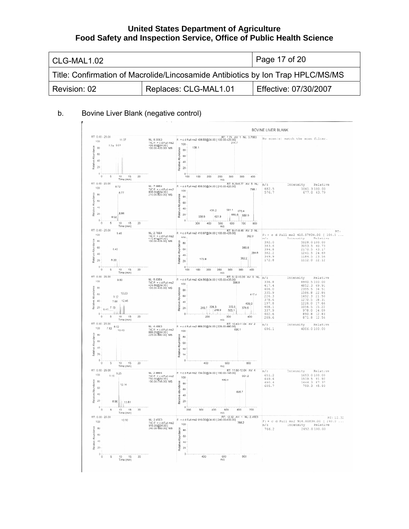| CLG-MAL1.02  |                                                                                 | Page 17 of 20         |  |
|--------------|---------------------------------------------------------------------------------|-----------------------|--|
|              | Title: Confirmation of Macrolide/Lincosamide Antibiotics by Ion Trap HPLC/MS/MS |                       |  |
| Revision: 02 | Replaces: CLG-MAL1.01                                                           | Effective: 07/30/2007 |  |

### b. Bovine Liver Blank (negative control)

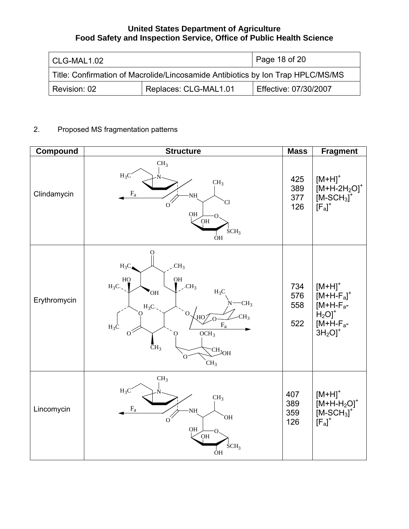| CLG-MAL1.02                                                                     |                       | Page 18 of 20         |  |
|---------------------------------------------------------------------------------|-----------------------|-----------------------|--|
| Title: Confirmation of Macrolide/Lincosamide Antibiotics by Ion Trap HPLC/MS/MS |                       |                       |  |
| Revision: 02                                                                    | Replaces: CLG-MAL1.01 | Effective: 07/30/2007 |  |

# 2. Proposed MS fragmentation patterns

| Compound     | <b>Structure</b>                                                                                                                                                                                                                                                                                                    | <b>Mass</b>              | <b>Fragment</b>                                                                                      |
|--------------|---------------------------------------------------------------------------------------------------------------------------------------------------------------------------------------------------------------------------------------------------------------------------------------------------------------------|--------------------------|------------------------------------------------------------------------------------------------------|
| Clindamycin  | CH <sub>3</sub><br>$H_3C$<br>CH <sub>3</sub><br>$\rm{F}_a$<br>$\rm NH$<br>Cl.<br>$\sigma^2$<br>$_{\rm OH}$<br>O <sub>H</sub><br>SCH <sub>3</sub><br>ÒН                                                                                                                                                              | 425<br>389<br>377<br>126 | $[M+H]$ <sup>+</sup><br>$[M+H-2H2O]$ <sup>+</sup><br>$[M-SCH3$ <sup>+</sup><br>$[F_a]^+$             |
| Erythromycin | O)<br>CH <sub>3</sub><br>$H_3C_4$<br>HO<br><b>OH</b><br>$\overline{CH}_3$<br>$H_3C.$<br>$H_3C$<br>OH<br>CH <sub>3</sub><br>$H_3C$ .<br>Ó.<br>0<br>CH <sub>3</sub><br>$\overline{AB}$<br>$\rm F_a$<br>$H_3C$<br>$0^2$<br>OCH <sub>3</sub><br>O.<br>$\bar{C}H_3$<br>$\text{CH}_{3\text{OH}}$<br>`O<br>CH <sub>3</sub> | 734<br>576<br>558<br>522 | $[M+H]$ <sup>+</sup><br>$[M+H-Fa]+$<br>$[M+H-Fa-$<br>$H_2O$ <sup>+</sup><br>$[M+H-Fa-$<br>$3H_2OJ^+$ |
| Lincomycin   | CH <sub>3</sub><br>$H_3C$<br>CH <sub>3</sub><br>$\mathbf{F}_{\text{a}}$<br>NH<br><b>OH</b><br>$o^{\prime}$<br>QH<br>O <sub>H</sub><br>SCH <sub>3</sub><br>ÔH                                                                                                                                                        | 407<br>389<br>359<br>126 | $[M+H]^+$<br>$[M+H-H2O]$ <sup>+</sup><br>$[M-SCH3$ <sup>+</sup><br>$[F_a]^+$                         |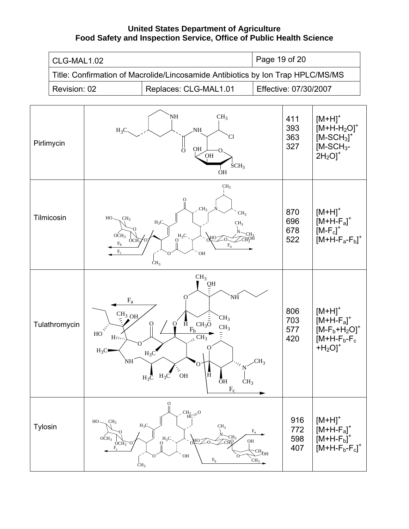|         | Page 19 of 20<br>CLG-MAL1.02                                                    |                                                                                                        |                                                                                                                                                                                                                                                                                                                 |                                                         |                          |                                                                                                                    |
|---------|---------------------------------------------------------------------------------|--------------------------------------------------------------------------------------------------------|-----------------------------------------------------------------------------------------------------------------------------------------------------------------------------------------------------------------------------------------------------------------------------------------------------------------|---------------------------------------------------------|--------------------------|--------------------------------------------------------------------------------------------------------------------|
|         | Title: Confirmation of Macrolide/Lincosamide Antibiotics by Ion Trap HPLC/MS/MS |                                                                                                        |                                                                                                                                                                                                                                                                                                                 |                                                         |                          |                                                                                                                    |
|         | Revision: 02                                                                    |                                                                                                        | Replaces: CLG-MAL1.01                                                                                                                                                                                                                                                                                           |                                                         | Effective: 07/30/2007    |                                                                                                                    |
|         | Pirlimycin                                                                      | $H_3C$                                                                                                 | NH<br>CH <sub>3</sub><br>NH.<br>`Cl<br>$\frac{11}{10}$<br><b>OH</b><br>O <sub>H</sub><br>SCH <sub>3</sub><br><b>OH</b>                                                                                                                                                                                          |                                                         | 411<br>393<br>363<br>327 | $[M+H]$ <sup>+</sup><br>$[M+H-H2O]$ <sup>+</sup><br>$[M-SCH3]$ <sup>+</sup><br>$IM-SCH3$ -<br>$2H_2O$ <sup>+</sup> |
|         | Tilmicosin                                                                      | CH <sub>3</sub><br>$HO-$<br>OCH <sub>3</sub><br><b>OCH</b><br>$\mathbf{F}_{\mathbf{b}}$<br>$F_c$       | CH <sub>3</sub><br>CH <sub>3</sub><br>CH <sub>3</sub><br>$H_3C$<br>CH <sub>3</sub><br>CH3<br>$OQ$ H <sub>3</sub> C.<br>ΗО<br>−⊂ਸΩੇ ਮੂ<br>$\mathbf{F}_{\text{a}}$<br><b>OH</b><br>CH <sub>3</sub>                                                                                                                |                                                         | 870<br>696<br>678<br>522 | $[M+H]$ <sup>+</sup><br>$[M+H-Fa]+$<br>$[M-F_c]^+$<br>$[M+H-F_a-F_b]^+$                                            |
|         | Tulathromycin                                                                   | $F_a$<br>CH <sub>3</sub> OH<br>${\rm HO}$<br>HIII<br>о<br>$H_3C$<br>NH                                 | CH <sub>3</sub><br>$\bar{\text{O}}\text{H}$<br>'NH<br>O<br>CH <sub>3</sub><br>$\bar{\text{H}}$<br>$CH_3\overline{O}$<br>О<br>O<br>CH <sub>3</sub><br>$F_b$<br>$\overline{\text{CH}_3}$<br>$\mathbf 0$<br>$H_3C$<br>O<br>N<br>Ā<br>$\rm OH$<br>$H_3C$<br>$H_3\overline{C}$<br>ŌН<br>CH <sub>3</sub><br>$\rm F_c$ | CH <sub>3</sub>                                         | 806<br>703<br>577<br>420 | $[M+H]$ <sup>+</sup><br>$[M+H-Fa]+$<br>$[M-F_b+H_2O]^+$<br>$[M+H-F_b-F_c]$<br>$+H2O$ <sup>+</sup>                  |
| Tylosin |                                                                                 | CH <sub>3</sub><br>$HO -$<br>Ω<br>OCH <sub>3</sub><br>OCH <sub>3</sub><br>$\rm F_c$<br>CH <sub>3</sub> | О<br>$\text{CH}_{3}_{\text{HC}} > 0$<br>$H_3C$<br>CH <sub>3</sub><br>CH <sub>3</sub><br>$O1H3C1$<br>$O_{\text{HO}}$<br>-CH's<br>`OH<br>O<br>$\rm F_b$                                                                                                                                                           | $\rm F_a$<br>OH<br>$TCH_{\text{OH}}$<br>CH <sub>3</sub> | 916<br>772<br>598<br>407 | $[M+H]^+$<br>$[M+H-Fa]$ <sup>+</sup><br>$[M+H-F_b]$ <sup>+</sup><br>$[M+H-F_b-F_c]^+$                              |